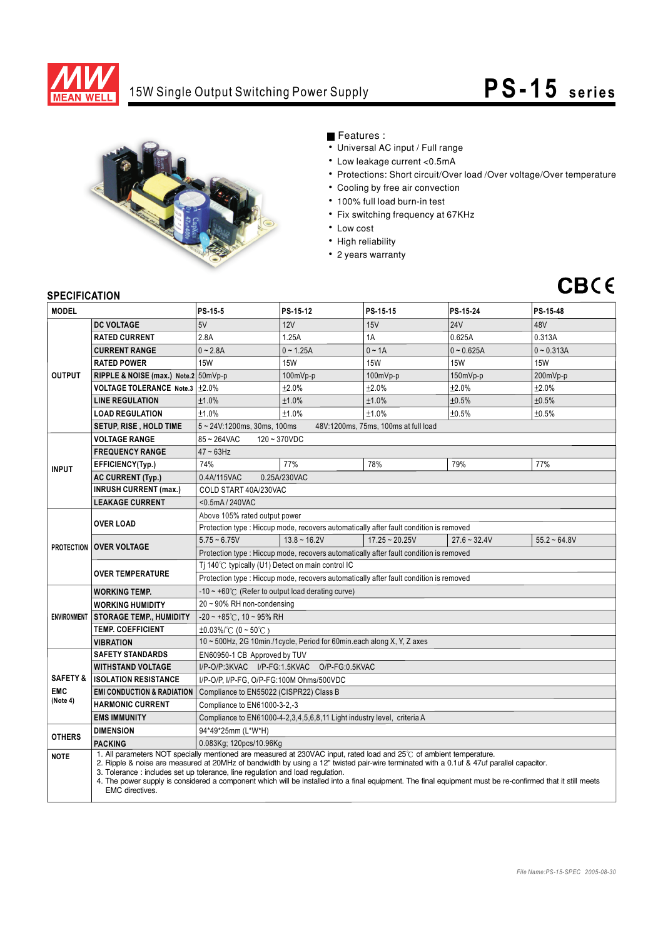

## 15W Single Output Switching Power Supply **PS-15** series



Features :

- Universal AC input / Full range
- Low leakage current <0.5mA
- Protections: Short circuit/Over load /Over voltage/Over temperature
- Cooling by free air convection
- 100% full load burn-in test
- Fix switching frequency at 67KHz
- Low cost
- High reliability
- 2 years warranty



## **SPECIFICATION**

| <b>JELUIFIUAI IUN</b><br><b>MODEL</b>         |                                                                                                                                                                                                                                                                                                                                                                                                                                                                                                                                          | PS-15-5                                                                                                                | PS-15-12          | PS-15-15         | PS-15-24       | PS-15-48       |
|-----------------------------------------------|------------------------------------------------------------------------------------------------------------------------------------------------------------------------------------------------------------------------------------------------------------------------------------------------------------------------------------------------------------------------------------------------------------------------------------------------------------------------------------------------------------------------------------------|------------------------------------------------------------------------------------------------------------------------|-------------------|------------------|----------------|----------------|
|                                               | <b>DC VOLTAGE</b>                                                                                                                                                                                                                                                                                                                                                                                                                                                                                                                        | 5V                                                                                                                     | 12V               | 15V              | <b>24V</b>     | 48V            |
| <b>OUTPUT</b>                                 | <b>RATED CURRENT</b>                                                                                                                                                                                                                                                                                                                                                                                                                                                                                                                     | 2.8A                                                                                                                   | 1.25A             | 1A               | 0.625A         | 0.313A         |
|                                               | <b>CURRENT RANGE</b>                                                                                                                                                                                                                                                                                                                                                                                                                                                                                                                     | $0 - 2.8A$                                                                                                             | $0 - 1.25A$       | $0 - 1A$         | $0 - 0.625A$   | $0 - 0.313A$   |
|                                               | <b>RATED POWER</b>                                                                                                                                                                                                                                                                                                                                                                                                                                                                                                                       | <b>15W</b>                                                                                                             | <b>15W</b>        | <b>15W</b>       | <b>15W</b>     | <b>15W</b>     |
|                                               | RIPPLE & NOISE (max.) Note.2 50mVp-p                                                                                                                                                                                                                                                                                                                                                                                                                                                                                                     |                                                                                                                        | 100mVp-p          | 100mVp-p         | $150mVp-p$     | 200mVp-p       |
|                                               | <b>VOLTAGE TOLERANCE Note.3</b>                                                                                                                                                                                                                                                                                                                                                                                                                                                                                                          | $\pm 2.0\%$                                                                                                            | ±2.0%             | ±2.0%            | ±2.0%          | ±2.0%          |
|                                               | <b>LINE REGULATION</b>                                                                                                                                                                                                                                                                                                                                                                                                                                                                                                                   | ±1.0%                                                                                                                  | ±1.0%             | ±1.0%            | ±0.5%          | ±0.5%          |
|                                               | <b>LOAD REGULATION</b>                                                                                                                                                                                                                                                                                                                                                                                                                                                                                                                   | ±1.0%                                                                                                                  | ±1.0%             | ±1.0%            | ±0.5%          | ±0.5%          |
|                                               | <b>SETUP, RISE , HOLD TIME</b>                                                                                                                                                                                                                                                                                                                                                                                                                                                                                                           | $5 \sim 24$ V:1200ms, 30ms, 100ms                                                                                      |                   |                  |                |                |
|                                               | <b>VOLTAGE RANGE</b>                                                                                                                                                                                                                                                                                                                                                                                                                                                                                                                     | 48V:1200ms, 75ms, 100ms at full load<br>$85 - 264$ VAC<br>$120 - 370 VDC$                                              |                   |                  |                |                |
| <b>INPUT</b>                                  | <b>FREQUENCY RANGE</b>                                                                                                                                                                                                                                                                                                                                                                                                                                                                                                                   | $47 - 63$ Hz                                                                                                           |                   |                  |                |                |
|                                               |                                                                                                                                                                                                                                                                                                                                                                                                                                                                                                                                          |                                                                                                                        |                   |                  |                |                |
|                                               | EFFICIENCY(Typ.)                                                                                                                                                                                                                                                                                                                                                                                                                                                                                                                         | 77%<br>74%<br>78%<br>79%<br>77%<br>0.25A/230VAC<br>0.4A/115VAC                                                         |                   |                  |                |                |
|                                               | <b>AC CURRENT (Typ.)</b><br><b>INRUSH CURRENT (max.)</b>                                                                                                                                                                                                                                                                                                                                                                                                                                                                                 | COLD START 40A/230VAC                                                                                                  |                   |                  |                |                |
|                                               | <b>LEAKAGE CURRENT</b>                                                                                                                                                                                                                                                                                                                                                                                                                                                                                                                   |                                                                                                                        |                   |                  |                |                |
|                                               | <b>OVER LOAD</b>                                                                                                                                                                                                                                                                                                                                                                                                                                                                                                                         | <0.5mA / 240VAC                                                                                                        |                   |                  |                |                |
|                                               |                                                                                                                                                                                                                                                                                                                                                                                                                                                                                                                                          | Above 105% rated output power<br>Protection type: Hiccup mode, recovers automatically after fault condition is removed |                   |                  |                |                |
|                                               | <b>PROTECTION OVER VOLTAGE</b>                                                                                                                                                                                                                                                                                                                                                                                                                                                                                                           | $5.75 - 6.75V$                                                                                                         | $13.8 \sim 16.2V$ | $17.25 - 20.25V$ | $27.6 - 32.4V$ | $55.2 - 64.8V$ |
|                                               |                                                                                                                                                                                                                                                                                                                                                                                                                                                                                                                                          | Protection type : Hiccup mode, recovers automatically after fault condition is removed                                 |                   |                  |                |                |
|                                               | <b>OVER TEMPERATURE</b>                                                                                                                                                                                                                                                                                                                                                                                                                                                                                                                  | Tj 140°C typically (U1) Detect on main control IC                                                                      |                   |                  |                |                |
|                                               |                                                                                                                                                                                                                                                                                                                                                                                                                                                                                                                                          | Protection type : Hiccup mode, recovers automatically after fault condition is removed                                 |                   |                  |                |                |
| <b>ENVIRONMENT</b>                            | <b>WORKING TEMP.</b>                                                                                                                                                                                                                                                                                                                                                                                                                                                                                                                     | $-10 \sim +60^{\circ}$ (Refer to output load derating curve)                                                           |                   |                  |                |                |
|                                               | <b>WORKING HUMIDITY</b>                                                                                                                                                                                                                                                                                                                                                                                                                                                                                                                  | 20~90% RH non-condensing                                                                                               |                   |                  |                |                |
|                                               | <b>STORAGE TEMP., HUMIDITY</b>                                                                                                                                                                                                                                                                                                                                                                                                                                                                                                           | $-20 \sim +85^{\circ}$ C, 10 ~ 95% RH                                                                                  |                   |                  |                |                |
|                                               | <b>TEMP. COEFFICIENT</b>                                                                                                                                                                                                                                                                                                                                                                                                                                                                                                                 | $\pm 0.03\%$ /°C (0 ~ 50°C)                                                                                            |                   |                  |                |                |
|                                               | VIBRATION                                                                                                                                                                                                                                                                                                                                                                                                                                                                                                                                | 10 ~ 500Hz, 2G 10min./1cycle, Period for 60min.each along X, Y, Z axes                                                 |                   |                  |                |                |
| <b>SAFETY &amp;</b><br><b>EMC</b><br>(Note 4) | <b>SAFETY STANDARDS</b>                                                                                                                                                                                                                                                                                                                                                                                                                                                                                                                  | EN60950-1 CB Approved by TUV                                                                                           |                   |                  |                |                |
|                                               | <b>WITHSTAND VOLTAGE</b>                                                                                                                                                                                                                                                                                                                                                                                                                                                                                                                 | I/P-O/P:3KVAC I/P-FG:1.5KVAC O/P-FG:0.5KVAC                                                                            |                   |                  |                |                |
|                                               | <b>ISOLATION RESISTANCE</b>                                                                                                                                                                                                                                                                                                                                                                                                                                                                                                              | I/P-O/P, I/P-FG, O/P-FG:100M Ohms/500VDC                                                                               |                   |                  |                |                |
|                                               | <b>EMI CONDUCTION &amp; RADIATION</b>                                                                                                                                                                                                                                                                                                                                                                                                                                                                                                    | Compliance to EN55022 (CISPR22) Class B                                                                                |                   |                  |                |                |
|                                               | <b>HARMONIC CURRENT</b>                                                                                                                                                                                                                                                                                                                                                                                                                                                                                                                  | Compliance to EN61000-3-2,-3                                                                                           |                   |                  |                |                |
|                                               | <b>EMS IMMUNITY</b>                                                                                                                                                                                                                                                                                                                                                                                                                                                                                                                      | Compliance to EN61000-4-2, 3, 4, 5, 6, 8, 11 Light industry level, criteria A                                          |                   |                  |                |                |
| <b>OTHERS</b>                                 | <b>DIMENSION</b>                                                                                                                                                                                                                                                                                                                                                                                                                                                                                                                         | 94*49*25mm (L*W*H)                                                                                                     |                   |                  |                |                |
|                                               | <b>PACKING</b>                                                                                                                                                                                                                                                                                                                                                                                                                                                                                                                           | 0.083Kg; 120pcs/10.96Kg                                                                                                |                   |                  |                |                |
| <b>NOTE</b>                                   | 1. All parameters NOT specially mentioned are measured at 230VAC input, rated load and 25°C of ambient temperature.<br>2. Ripple & noise are measured at 20MHz of bandwidth by using a 12" twisted pair-wire terminated with a 0.1uf & 47uf parallel capacitor.<br>3. Tolerance: includes set up tolerance, line regulation and load regulation.<br>4. The power supply is considered a component which will be installed into a final equipment. The final equipment must be re-confirmed that it still meets<br><b>EMC</b> directives. |                                                                                                                        |                   |                  |                |                |